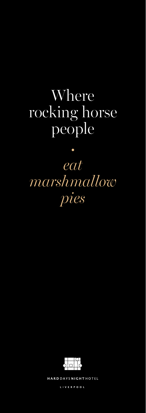# Where rocking horse people

# *eat marshmallow pies*

•



HARD DAYS NIGHT HOTEL

LIVERPOOL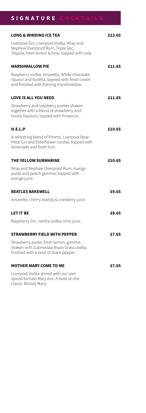# **SIGNATURE COCKTAILS**

| <b>LONG &amp; WINDING ICE TEA</b>                                                                                                     | £12.65 |
|---------------------------------------------------------------------------------------------------------------------------------------|--------|
| Liverpool Gin, Liverpool Vodka, Wray and<br>Nephew Overproof Rum, Triple Sec,<br>Tequila, fresh lemon & lime, topped with cola.       |        |
| <b>MARSHMALLOW PIE</b>                                                                                                                | £11.65 |
| Raspberry vodka, Amaretto, White chocolate<br>liqueur and Nutella, layered with fresh cream<br>and finished with flaming marshmallow. |        |
| <b>LOVE IS ALL YOU NEED</b>                                                                                                           | £11.65 |
| Strawberry and raspberry purées shaken<br>together with a blend of strawberry and<br>honey liqueurs, topped with Prosecco.            |        |
| H.E.L.P                                                                                                                               | £10.65 |
| A refreshing blend of Pimms, Liverpool Rose<br>Petal Gin and Elderflower cordial, topped with<br>lemonade and fresh fruit.            |        |
| THE YELLOW SUBMARINE                                                                                                                  | £10.65 |
| Wray and Nephew Overproof Rum, mango<br>purée and peach gomme, topped with<br>orange juice.                                           |        |
| <b>BEATLES BAKEWELL</b>                                                                                                               | £9.65  |
| Amaretto, cherry brandy & cranberry juice.                                                                                            |        |
| <b>LET IT BE</b>                                                                                                                      | £8.65  |
| Raspberry Gin, vanilla vodka, lime juice.                                                                                             |        |
| <b>STRAWBERRY FIELD WITH PEPPER</b>                                                                                                   | £7.65  |
| Strawberry purée, fresh lemon, gomme,<br>shaken with Zubrowska Bison Grass vodka,<br>finished with a twist of black pepper.           |        |
| <b>MOTHER MARY COME TO ME</b>                                                                                                         | £7.65  |
| Liverpool Vodka stirred with our own<br>spiced tomato Mary mix. A twist on the<br>classic Bloody Mary.                                |        |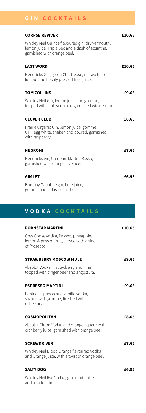# **GIN COCKTAILS**

| <b>CORPSE REVIVER</b>                                                                                                              | £10.65 |
|------------------------------------------------------------------------------------------------------------------------------------|--------|
| Whitley Neil Quince flavoured gin, dry vermouth,<br>lemon juice, Triple Sec and a dash of absinthe,<br>garnished with orange peel. |        |
| <b>LAST WORD</b>                                                                                                                   | £10.65 |
| Hendricks Gin, green Chartreuse, maraschino<br>liqueur and freshly pressed lime juice.                                             |        |
| <b>TOM COLLINS</b>                                                                                                                 | £9.65  |
| Whitley Neil Gin, lemon juice and gomme,<br>topped with club soda and garnished with lemon.                                        |        |
| <b>CLOVER CLUB</b>                                                                                                                 | £8.65  |
| Prairie Organic Gin, lemon juice, gomme,<br>UHT egg white, shaken and poured, garnished<br>with raspberry.                         |        |
| <b>NEGRONI</b>                                                                                                                     | £7.65  |
| Hendricks gin, Campari, Martini Rosso,<br>garnished with orange, over ice.                                                         |        |
| <b>GIMLET</b>                                                                                                                      | £6.95  |
| Bombay Sapphire gin, lime juice,<br>gomme and a dash of soda.                                                                      |        |

# **VODKA COCKTAILS**

| <b>PORNSTAR MARTINI</b>                                                                         | £10.65 |
|-------------------------------------------------------------------------------------------------|--------|
| Grey Goose vodka, Passoa, pineapple,<br>lemon & passionfruit, served with a side<br>of Prosecco |        |
| <b>STRAWBERRY MOSCOW MULE</b>                                                                   | £9.65  |
| Absolut Vodka in strawberry and lime<br>topped with ginger beer and angostura.                  |        |
| <b>ESPRESSO MARTINI</b>                                                                         | £9.65  |
| Kahlua, espresso and vanilla vodka,<br>shaken with gomme, finished with<br>coffee beans.        |        |
| <b>COSMOPOLITAN</b>                                                                             | £8.65  |
| Absolut Citron Vodka and orange liqueur with<br>cranberry juice, garnished with orange peel.    |        |
| <b>SCREWDRIVER</b>                                                                              | £7.65  |
| Whitley Neil Blood Orange flavoured Vodka<br>and Orange juice, with a twist of orange peel.     |        |
| <b>SALTY DOG</b>                                                                                | £6.95  |
| Whitley Neil Rye Vodka, grapefruit juice<br>and a salted rim.                                   |        |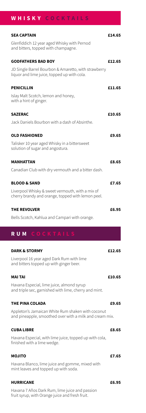## **WHISKY COCKTAILS**

| <b>SEA CAPTAIN</b>                                                                                           | £14.65 |
|--------------------------------------------------------------------------------------------------------------|--------|
| Glenfiddich 12 year aged Whisky with Pernod<br>and bitters, topped with champagne.                           |        |
| <b>GODFATHERS BAD BOY</b>                                                                                    | £12.65 |
| JD Single Barrel Bourbon & Amaretto, with strawberry<br>liquor and lime juice, topped up with cola.          |        |
| <b>PENICILLIN</b>                                                                                            | £11.65 |
| Islay Malt Scotch, lemon and honey,<br>with a hint of ginger.                                                |        |
| <b>SAZERAC</b>                                                                                               | £10.65 |
| Jack Daniels Bourbon with a dash of Absinthe.                                                                |        |
| <b>OLD FASHIONED</b>                                                                                         | £9.65  |
| Talisker 10 year aged Whisky in a bittersweet<br>solution of sugar and angostura.                            |        |
| <b>MANHATTAN</b>                                                                                             | £8.65  |
| Canadian Club with dry vermouth and a bitter dash.                                                           |        |
| <b>BLOOD &amp; SAND</b>                                                                                      | £7.65  |
| Liverpool Whisky & sweet vermouth, with a mix of<br>cherry brandy and orange, topped with lemon peel.        |        |
| <b>THE REVOLVER</b>                                                                                          | £6.95  |
| Bells Scotch, Kahlua and Campari with orange.                                                                |        |
| RUM COCKTAIL                                                                                                 |        |
| <b>DARK &amp; STORMY</b>                                                                                     | £12.65 |
| Liverpool 16 year aged Dark Rum with lime<br>and bitters topped up with ginger beer.                         |        |
| <b>MAI TAI</b>                                                                                               | £10.65 |
| Havana Especial, lime juice, almond syrup<br>and triple sec, garnished with lime, cherry and mint.           |        |
| THE PINA COLADA                                                                                              | £9.65  |
| Appleton's Jamaican White Rum shaken with coconut<br>and pineapple, smoothed over with a milk and cream mix. |        |
| <b>CUBA LIBRE</b>                                                                                            | £8.65  |
| Havana Especial, with lime juice, topped up with cola,<br>finished with a lime wedge.                        |        |
| <b>MOJITO</b>                                                                                                | £7.65  |
| Havana Blanco, lime juice and gomme, mixed with<br>mint leaves and topped up with soda.                      |        |
| <b>HURRICANE</b>                                                                                             | £6.95  |

Havana 7 Años Dark Rum, lime juice and passion fruit syrup, with Orange juice and fresh fruit.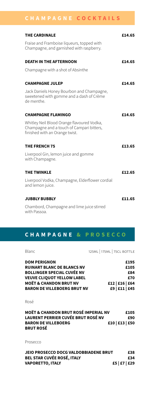# **CHAMPAGNE COCKTAILS**

| <b>THE CARDINALE</b>                                                                                                      | £14.65 |
|---------------------------------------------------------------------------------------------------------------------------|--------|
| Fraise and Framboise liqueurs, topped with<br>Champagne, and garnished with raspberry.                                    |        |
| <b>DEATH IN THE AFTERNOON</b>                                                                                             | £14.65 |
| Champagne with a shot of Absinthe                                                                                         |        |
| <b>CHAMPAGNE JULEP</b>                                                                                                    | £14.65 |
| Jack Daniels Honey Bourbon and Champagne,<br>sweetened with gomme and a dash of Crème<br>de menthe.                       |        |
| <b>CHAMPAGNE FLAMINGO</b>                                                                                                 | £14.65 |
| Whitley Neil Blood Orange flavoured Vodka,<br>Champagne and a touch of Campari bitters,<br>finished with an Orange twist. |        |
| <b>THE FRENCH 75</b>                                                                                                      | £13.65 |
| Liverpool Gin, lemon juice and gomme<br>with Champagne.                                                                   |        |
| <b>THE TWINKLE</b>                                                                                                        | £12.65 |
| Liverpool Vodka, Champagne, Elderflower cordial<br>and lemon juice.                                                       |        |
| <b>JUBBLY BUBBLY</b>                                                                                                      | £11.65 |
| Chambord, Champagne and lime juice stirred<br>with Passoa.                                                                |        |

## **CHAMPAGNE & PROSECCO**

| Blanc                                                                                                                                                                                                         | 125ML   175ML   75CL BOTTLE                                     |
|---------------------------------------------------------------------------------------------------------------------------------------------------------------------------------------------------------------|-----------------------------------------------------------------|
| <b>DOM PERIGNON</b><br><b>RUINART BLANC DE BLANCS NV</b><br><b>BOLLINGER SPECIAL CUVÉE NV</b><br><b>VEUVE CLIQUOT YELLOW LABEL</b><br><b>MOËT &amp; CHANDON BRUT NV</b><br><b>BARON DE VILLEBOERG BRUT NV</b> | £195<br>£105<br>£84<br>£70<br>£12   £16   £64<br>£9   £11   £45 |
| Rosé                                                                                                                                                                                                          |                                                                 |
| <b>MOËT &amp; CHANDON BRUT ROSÉ IMPERIAL NV</b><br><b>LAURENT PERRIER CUVÉE BRUT ROSÉ NV</b><br><b>BARON DE VILLEBOERG</b><br><b>BRUT ROSÉ</b>                                                                | £105<br>£90<br>£10   £13   £50                                  |
| Prosecco                                                                                                                                                                                                      |                                                                 |
| <b>JEIO PROSECCO DOCG VALDOBBIADENE BRUT</b><br><b>BEL STAR CUVÉE ROSÉ, ITALY</b><br><b>VAPORETTO, ITALY</b>                                                                                                  | £38<br>£34<br>£5   £7   £29                                     |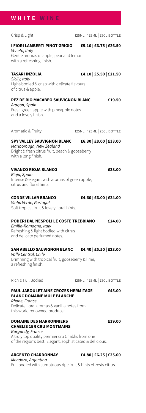### **WHITE WINE**

**I FIORI LAMBERTI PINOT GRIGIO £5.10 | £6.75 | £26.50** *Veneto, Italy* Gentle aromas of apple, pear and lemon with a refreshing finish. **TASARI INZOLIA £4.10 | £5.50 | £21.50** *Sicily, Italy* Light-bodied & crisp with delicate flavours of citrus & apple. **PEZ DE RIO MACABEO SAUVIGNON BLANC £19.50** *Aragon, Spain* Fresh green apple with pineapple notes and a lovely finish. Aromatic & Fruity 125ML | 175ML | 75CL BOTTLE **SPY VALLEY SAUVIGNON BLANC £6.30 | £8.00 | £33.00** *Marlborough, New Zealand* Bright & fresh citrus fruit, peach & gooseberry with a long finish. **VIVANCO RIOJA BLANCO £28.00** *Rioja, Spain* Intense & elegant with aromas of green apple, citrus and floral hints. **CONDE VILLAR BRANCO £4.60 | £6.00 | £24.00**

# *Vinho Verde, Portugal*

Soft tropical fruit & lovely floral hints.

#### **PODERI DAL NESPOLI LE COSTE TREBBIANO £24.00**

*Emilia-Romagna, Italy* Refreshing & light bodied with citrus and delicate perfumed notes.

### **SAN ABELLO SAUVIGNON BLANC £4.40 | £5.50 | £23.00**

*Valle Central, Chile* Brimming with tropical fruit, gooseberry & lime, a refreshing finish.

#### Rich & Full Bodied 125ML | 175ML | 75CL BOTTLE

#### **PAUL JABOULET AINE CROZES HERMITAGE £45.00 BLANC DOMAINE MULE BLANCHE**

*Rhone, France* Delicate floral aromas & vanilla notes from this world renowned producer.

#### **DOMAINE DES MARRONNIERS £39.00 CHABLIS 1ER CRU MONTMAINS**

*Burgundy, France* A truly top quality premier cru Chablis from one of the region's best. Elegant, sophisticated & delicious.

## **ARGENTO CHARDONNAY £4.80 | £6.25 | £25.00**

*Mendoza, Argentina* Full bodied with sumptuous ripe fruit & hints of zesty citrus.

Crisp & Light 125ML | 175ML | 75CL BOTTLE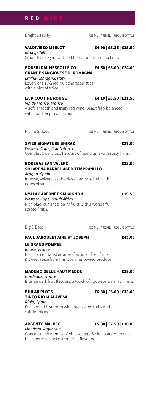#### **RED WINE**

#### Bright & Fruity 125ML | 175ML | 75CL BOTTLE

#### **VALDIVIESO MERLOT £4.90 | £6.25 | £25.50**

*Rapel, Chile* Smooth & elegant with red berry fruits & mocha hints.

#### **PODERI DAL NESPOLI FICO £4.60 | £6.00 | £24.00 GRANDE SANGIOVESE DI ROMAGNA** *Emilia-Romagna, Italy*

Lovely cherry & red fruit characteristics with a hint of spice.

#### **LA PICOUTINE ROUGE £4.10 | £5.50 | £21.50**

*Vin de France, France* A soft, smooth and fruity red wine. Beautifully balanced with good length of flavour.

Rich & Smooth 125ML | 175ML | 75CL BOTTLE

#### **SPIER SIGNATURE SHIRAZ £27.00**

*Western Cape, South Africa* Complex & delicious flavours of ripe plums with spicy hints.

#### **BODEGAS SAN VALERO £23.00 SOLARENA BARREL AGED TEMPRANILLO**

*Aragon, Spain* Intense, velvety raspberries & bramble fruit with notes of vanilla.

#### **NYALA CABERNET SAUVIGNON £19.50**

*Western Cape, South Africa* Rich blackcurrant & berry fruits with a wonderful spiced finish.

Big & Bold 125ML | 175ML | 75CL BOTTLE

#### **PAUL JABOULET AINE ST JOSEPH £45.00**

#### **LE GRAND POMPEE**

*Rhone, France* Rich concentrated aromas, flavours of red fruits & sweet spice from this world renowned producer.

#### **MADEMOISELLE HAUT MEDOC £39.00**

*Bordeaux, France* Intense dark fruit flavours, a touch of liquorice & a silky finish.

## **TINTO RIOJA ALAVESA** *Rioja, Spain*

Full bodied & smooth with intense red fruits and subtle spices.

#### **ARGENTO MALBEC £5.80 | £7.50 | £30.00**

*Mendoza, Argentina* Concentrated aromas of black cherry & chocolate, with rich blackberry & blackcurrant fruit flavours.

#### **BHILAR PLOTS £6.30 | £8.00 | £33.00**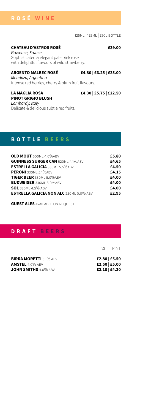#### **ROSÉ WINE**

125ml | 175ml | 75cl bottle

#### **CHATEAU D'ASTROS ROSÉ £29.00**

*Provence, France* Sophisticated & elegant pale pink rose with delightful flavours of wild strawberry.

#### **ARGENTO MALBEC ROSÉ £4.80 | £6.25 | £25.00**

*Mendoza, Argentina* Intense red berries, cherry & plum fruit flavours.

# **PINOT GRIGIO BLUSH**

**LA MAGLIA ROSA £4.30 | £5.75 | £22.50**

*Lombardy, Italy* Delicate & delicious subtle red fruits.

### **BOTTLE BEERS**

| OLD MOUT 500MI 4.0%ABV                         | £5.80 |
|------------------------------------------------|-------|
| <b>GUINNESS SURGER CAN 520MI 4.1%ABV</b>       | £4.65 |
| <b>ESTRELLA GALICIA 330MI 5.5%ABV</b>          | £4.50 |
| <b>PERONI</b> 330MI 5.1%ABV                    | £4.15 |
| <b>TIGER BEER 330MI 5.0%ABV</b>                | £4.00 |
| <b>BUDWEISER 330MI 5.0%ABV</b>                 | £4.00 |
| <b>SOL</b> 330ML 4.5% ABV                      | £4.00 |
| <b>ESTRELLA GALICIA NON ALC 250ML 0.0% ABV</b> | £2.95 |

**GUEST ALES** AVAILABLE ON REQUEST

### **DRAFT BEERS**

 $1/2$  PINT

| <b>BIRRA MORETTI 5.1% ABV</b> | £2.80 £5.50 |
|-------------------------------|-------------|
| AMSTEL 4.0% abv               | £2.50 £5.00 |
| JOHN SMITHS 4.0% ABV          | £2.10 £4.20 |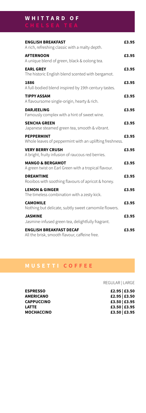# **W H I T T A R D O F**

**ENGLISH BREAKFAST £3.95** A rich, refreshing classic with a malty depth. **AFTERNOON £3.95** A unique blend of green, black & oolong tea. **EARL GREY £3.95** The historic English blend scented with bergamot. **1886 £3.95** A full-bodied blend inspired by 19th century tastes. **TIPPY ASSAM £3.95** A flavoursome single-origin, hearty & rich. **DARJEELING £3.95** Famously complex with a hint of sweet wine. **SENCHA GREEN £3.95** Japanese steamed green tea, smooth & vibrant. **PEPPERMINT £3.95** Whole leaves of peppermint with an uplifting freshness. **VERY BERRY CRUSH £3.95** A bright, fruity infusion of raucous red berries. **MANGO & BERGAMOT £3.95** A green twist on Earl Green with a tropical flavour. **DREAMTIME £3.95** Rooibos with soothing flavours of apricot & honey. **LEMON & GINGER £3.95** The timeless combination with a zesty kick. **CAMOMILE £3.95** Nothing but delicate, subtly sweet camomile flowers. **JASMINE £3.95** Jasmine-infused green tea, delightfully fragrant. **ENGLISH BREAKFAST DECAF £3.95** All the brisk, smooth flavour, caffeine free.

### **MUSETTI COFFEE**

REGULAR | LARGE

| £2.95   £3.50 |  |
|---------------|--|
| £2.95   £3.50 |  |
| £3.50   £3.95 |  |
| £3.50   £3.95 |  |
| £3.50   £3.95 |  |

**ESPRESSO £2.95 | £3.50 AMERICANO £2.95 | £3.50 CAPPUCCINO £3.50 | £3.95 LATTE £3.50 | £3.95 MOCHACCINO £3.50 | £3.95**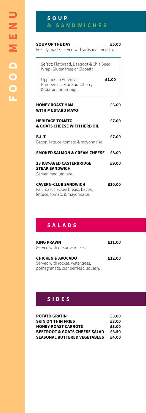## **S O U P & SANDWICHES**

#### **SOUP OF THE DAY £5.00**

Freshly made, served with artisanal bread roll.

| Select: Flatbread, Beetroot & Chia Seed<br>Wrap (Gluten free) or Ciabatta.                       |        |
|--------------------------------------------------------------------------------------------------|--------|
| Upgrade to American<br>Pumpernickel or Sour Cherry<br>& Currant Sourdough                        | £1.00  |
| <b>HONEY ROAST HAM</b><br><b>WITH MUSTARD MAYO</b>                                               | £6.00  |
| <b>HERITAGE TOMATO</b><br>& GOATS CHEESE WITH HERB OIL                                           | £7.00  |
| <b>B.L.T.</b><br>Bacon, lettuce, tomato & mayonnaise.                                            | £7.00  |
| <b>SMOKED SALMON &amp; CREAM CHEESE</b>                                                          | £8.00  |
| <b>28 DAY-AGED CASTERBRIDGE</b><br><b>STEAK SANDWICH</b><br>Served medium rare.                  | £9.00  |
| <b>CAVERN-CLUB SANDWICH</b><br>Pan roast chicken breast, bacon,<br>lettuce, tomato & mayonnaise. | £10.00 |

# **SALADS**

| <b>KING PRAWN</b><br>Served with melon & rocket.                | £11.00 |
|-----------------------------------------------------------------|--------|
| <b>CHICKEN &amp; AVOCADO</b><br>Served with rocket, watercress, | £12.00 |
| pomegranate, cranberries & squash.                              |        |

# **SIDES**

| <b>POTATO GRATIN</b>                     | £3.00 |
|------------------------------------------|-------|
| <b>SKIN ON THIN FRIES</b>                | £3.00 |
| <b>HONEY-ROAST CARROTS</b>               | £3.00 |
| <b>BEETROOT &amp; GOATS CHEESE SALAD</b> | £3.50 |
| <b>SEASONAL BUTTERED VEGETABLES</b>      | £4.00 |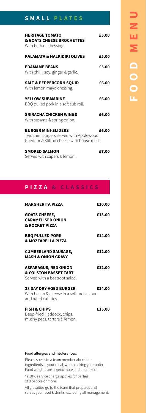# **SMALL PLATES**

| <b>HERITAGE TOMATO</b><br>& GOATS CHEESE BROCHETTES<br>With herb oil dressing.                                       | £5.00 |
|----------------------------------------------------------------------------------------------------------------------|-------|
| <b>KALAMATA &amp; HALKIDIKI OLIVES</b>                                                                               | £5.00 |
| <b>EDAMAME BEANS</b><br>With chilli, soy, ginger & garlic.                                                           | £5.00 |
| <b>SALT &amp; PEPPERCORN SQUID</b><br>With lemon mayo dressing.                                                      | £6.00 |
| <b>YELLOW SUBMARINE</b><br>BBQ pulled pork in a soft sub roll.                                                       | £6.00 |
| <b>SRIRACHA CHICKEN WINGS</b><br>With sesame & spring onion.                                                         | £6.00 |
| <b>BURGER MINI-SLIDERS</b><br>Two mini burgers served with Applewood,<br>Cheddar & Stilton cheese with house relish. | £6.00 |
|                                                                                                                      |       |

| <b>SMOKED SALMON</b>        | £7.00 |
|-----------------------------|-------|
| Served with capers & lemon. |       |

# **PIZZA & CLASSICS**

| <b>MARGHERITA PIZZA</b>                                                                           | £10.00 |
|---------------------------------------------------------------------------------------------------|--------|
| <b>GOATS CHEESE,</b><br><b>CARAMELISED ONION</b><br><b>&amp; ROCKET PIZZA</b>                     | £13.00 |
| <b>BBQ PULLED PORK</b><br><b>&amp; MOZZARELLA PIZZA</b>                                           | £14.00 |
| <b>CUMBERLAND SAUSAGE,</b><br><b>MASH &amp; ONION GRAVY</b>                                       | £12.00 |
| <b>ASPARAGUS, RED ONION</b><br><b>&amp; COLSTON BASSET TART</b><br>Served with a beetroot salad.  | £12.00 |
| <b>28 DAY DRY-AGED BURGER</b><br>With bacon & cheese in a soft pretzel bun<br>and hand cut fries. | £14.00 |
| <b>FISH &amp; CHIPS</b><br>Deep-fried Haddock, chips,<br>mushy peas, tartare & lemon.             | £15.00 |

#### Food allergies and intolerances: Please speak to a team member about the ingredients in your meal, when making your order. Food weights are approximate and uncooked. \*a 10% service charge applies for parties of 8 people or more. All gratuities go to the team that prepares and serves your food & drinks, excluding all management.